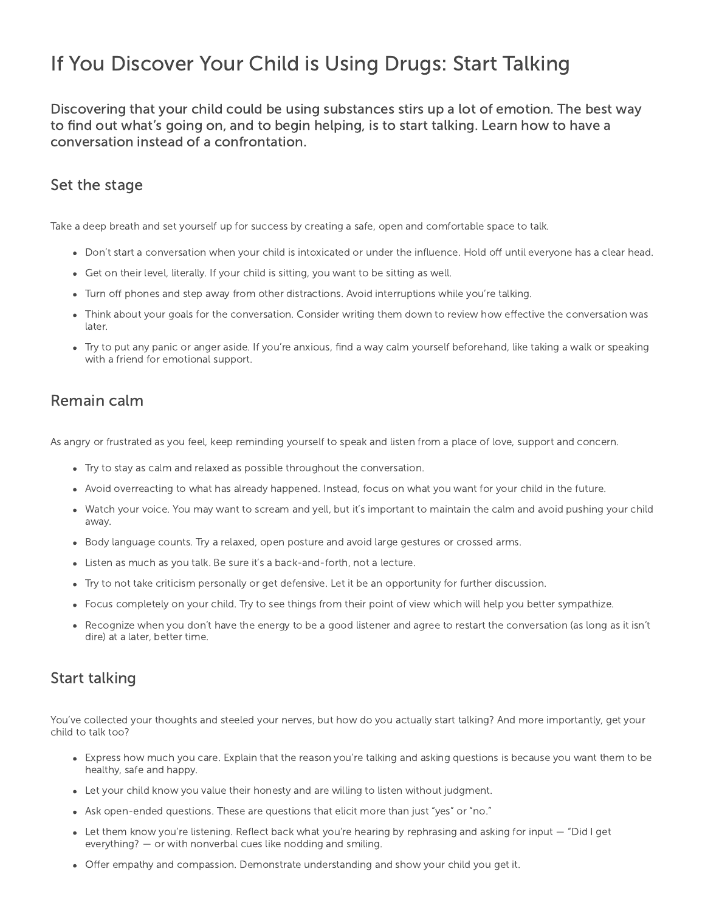# If You Discover Your Child is Using Drugs: Start Talking

Discovering that your child could be using substances stirs up a lot of emotion. The best way to find out what's going on, and to begin helping, is to start talking. Learn how to have a conversation instead of a confrontation.

### Set the stage

Take a deep breath and set yourself up for success by creating a safe, open and comfortable space to talk.

- Don't start a conversation when your child is intoxicated or under the influence. Hold off until everyone has a clear head.
- Get on their level, literally. If your child is sitting, you want to be sitting as well.
- Turn off phones and step away from other distractions. Avoid interruptions while you're talking.
- Think about your goals for the conversation. Consider writing them down to review how effective the conversation was later.
- Try to put any panic or anger aside. If you're anxious, find a way calm yourself beforehand, like taking a walk or speaking with a friend for emotional support.

## Remain calm

As angry or frustrated as you feel, keep reminding yourself to speak and listen from a place of love, support and concern.

- Try to stay as calm and relaxed as possible throughout the conversation.
- Avoid overreacting to what has already happened. Instead, focus on what you want for your child in the future.
- Watch your voice. You may want to scream and yell, but it's important to maintain the calm and avoid pushing your child away.
- Body language counts. Try a relaxed, open posture and avoid large gestures or crossed arms.
- Listen as much as you talk. Be sure it's a back-and-forth, not a lecture.
- Try to not take criticism personally or get defensive. Let it be an opportunity for further discussion.
- Focus completely on your child. Try to see things from their point of view which will help you better sympathize.
- Recognize when you don't have the energy to be a good listener and agree to restart the conversation (as long as it isn't dire) at a later, better time.

## Start talking

You've collected your thoughts and steeled your nerves, but how do you actually start talking? And more importantly, get your child to talk too?

- Express how much you care. Explain that the reason you're talking and asking questions is because you want them to be healthy, safe and happy.
- Let your child know you value their honesty and are willing to listen without judgment.
- Ask open-ended questions. These are questions that elicit more than just "yes" or "no."
- Let them know you're listening. Reflect back what you're hearing by rephrasing and asking for input "Did I get everything? — or with nonverbal cues like nodding and smiling.
- Offer empathy and compassion. Demonstrate understanding and show your child you get it.